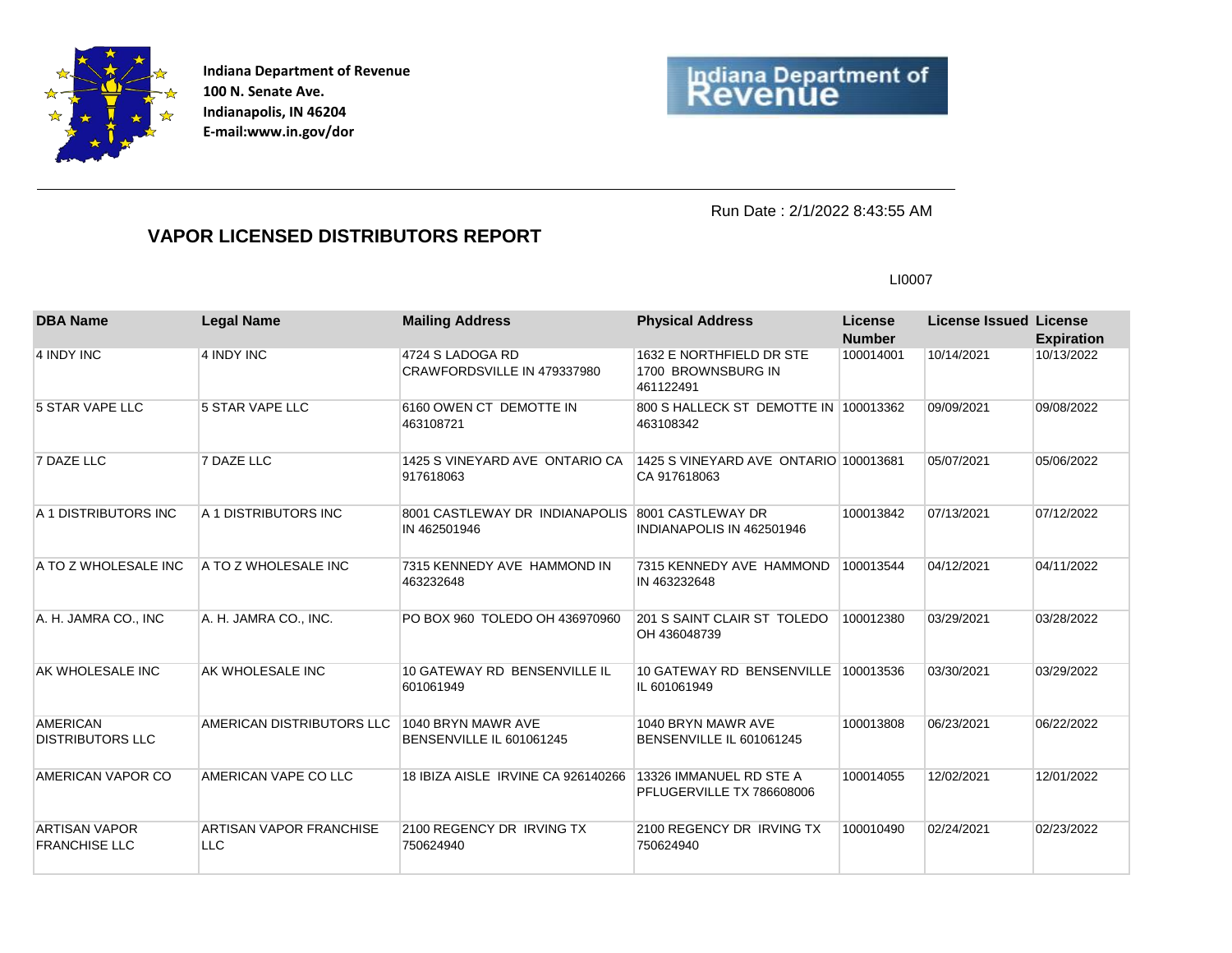

**Indiana Department of Revenue 100 N. Senate Ave. Indianapolis, IN 46204 E-mail:www.in.gov/dor**



Run Date : 2/1/2022 8:43:55 AM

## **VAPOR LICENSED DISTRIBUTORS REPORT**

LI0007

| <b>DBA Name</b>                              | <b>Legal Name</b>                            | <b>Mailing Address</b>                                           | <b>Physical Address</b>                                     | <b>License</b><br><b>Number</b> | <b>License Issued License</b> | <b>Expiration</b> |
|----------------------------------------------|----------------------------------------------|------------------------------------------------------------------|-------------------------------------------------------------|---------------------------------|-------------------------------|-------------------|
| 4 INDY INC                                   | 4 INDY INC                                   | 4724 S LADOGA RD<br>CRAWFORDSVILLE IN 479337980                  | 1632 E NORTHFIELD DR STE<br>1700 BROWNSBURG IN<br>461122491 | 100014001                       | 10/14/2021                    | 10/13/2022        |
| 5 STAR VAPE LLC                              | 5 STAR VAPE LLC                              | 6160 OWEN CT DEMOTTE IN<br>463108721                             | 800 S HALLECK ST DEMOTTE IN 100013362<br>463108342          |                                 | 09/09/2021                    | 09/08/2022        |
| 7 DAZE LLC                                   | 7 DAZE LLC                                   | 1425 S VINEYARD AVE ONTARIO CA<br>917618063                      | 1425 S VINEYARD AVE ONTARIO 100013681<br>CA 917618063       |                                 | 05/07/2021                    | 05/06/2022        |
| A 1 DISTRIBUTORS INC                         | A 1 DISTRIBUTORS INC                         | 8001 CASTLEWAY DR INDIANAPOLIS 8001 CASTLEWAY DR<br>IN 462501946 | INDIANAPOLIS IN 462501946                                   | 100013842                       | 07/13/2021                    | 07/12/2022        |
| A TO Z WHOLESALE INC                         | A TO Z WHOLESALE INC                         | 7315 KENNEDY AVE HAMMOND IN<br>463232648                         | 7315 KENNEDY AVE HAMMOND<br>IN 463232648                    | 100013544                       | 04/12/2021                    | 04/11/2022        |
| A. H. JAMRA CO., INC                         | A. H. JAMRA CO., INC.                        | PO BOX 960 TOLEDO OH 436970960                                   | 201 S SAINT CLAIR ST TOLEDO<br>OH 436048739                 | 100012380                       | 03/29/2021                    | 03/28/2022        |
| AK WHOLESALE INC                             | AK WHOLESALE INC                             | 10 GATEWAY RD BENSENVILLE IL<br>601061949                        | 10 GATEWAY RD BENSENVILLE<br>IL 601061949                   | 100013536                       | 03/30/2021                    | 03/29/2022        |
| <b>AMERICAN</b><br><b>DISTRIBUTORS LLC</b>   | AMERICAN DISTRIBUTORS LLC                    | 1040 BRYN MAWR AVE<br>BENSENVILLE IL 601061245                   | 1040 BRYN MAWR AVE<br>BENSENVILLE IL 601061245              | 100013808                       | 06/23/2021                    | 06/22/2022        |
| <b>AMERICAN VAPOR CO</b>                     | AMERICAN VAPE CO LLC                         | 18 IBIZA AISLE IRVINE CA 926140266                               | 13326 IMMANUEL RD STE A<br>PFLUGERVILLE TX 786608006        | 100014055                       | 12/02/2021                    | 12/01/2022        |
| <b>ARTISAN VAPOR</b><br><b>FRANCHISE LLC</b> | <b>ARTISAN VAPOR FRANCHISE</b><br><b>LLC</b> | 2100 REGENCY DR IRVING TX<br>750624940                           | 2100 REGENCY DR IRVING TX<br>750624940                      | 100010490                       | 02/24/2021                    | 02/23/2022        |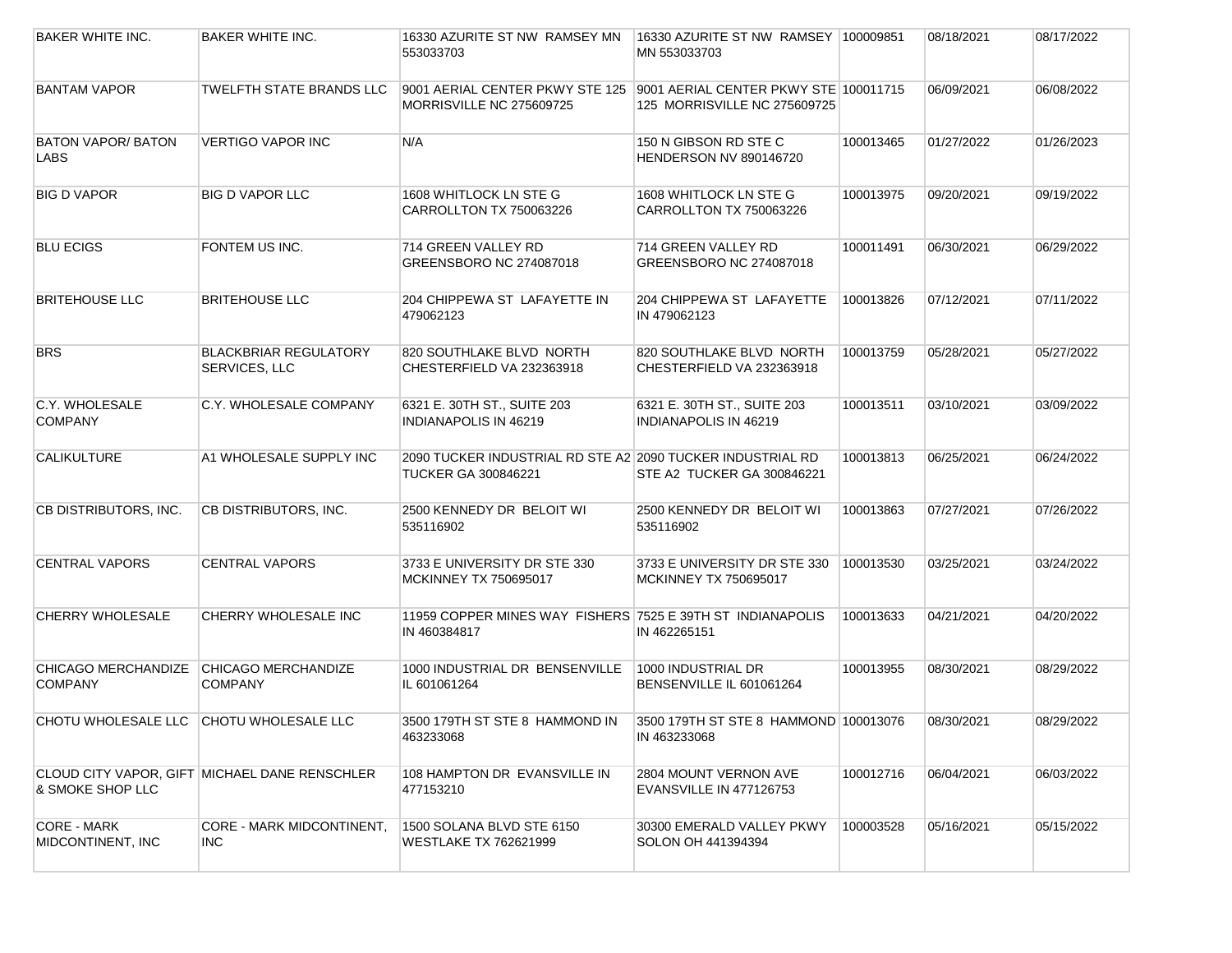| <b>BAKER WHITE INC.</b>                 | <b>BAKER WHITE INC.</b>                       | 16330 AZURITE ST NW RAMSEY MN<br>553033703                                               | 16330 AZURITE ST NW RAMSEY 100009851<br>MN 553033703                  |           | 08/18/2021 | 08/17/2022 |
|-----------------------------------------|-----------------------------------------------|------------------------------------------------------------------------------------------|-----------------------------------------------------------------------|-----------|------------|------------|
| <b>BANTAM VAPOR</b>                     | <b>TWELFTH STATE BRANDS LLC</b>               | 9001 AERIAL CENTER PKWY STE 125<br>MORRISVILLE NC 275609725                              | 9001 AERIAL CENTER PKWY STE 100011715<br>125 MORRISVILLE NC 275609725 |           | 06/09/2021 | 06/08/2022 |
| <b>BATON VAPOR/ BATON</b><br>LABS       | <b>VERTIGO VAPOR INC</b>                      | N/A                                                                                      | 150 N GIBSON RD STE C<br><b>HENDERSON NV 890146720</b>                | 100013465 | 01/27/2022 | 01/26/2023 |
| <b>BIG D VAPOR</b>                      | <b>BIG D VAPOR LLC</b>                        | 1608 WHITLOCK LN STE G<br>CARROLLTON TX 750063226                                        | 1608 WHITLOCK LN STE G<br>CARROLLTON TX 750063226                     | 100013975 | 09/20/2021 | 09/19/2022 |
| <b>BLU ECIGS</b>                        | FONTEM US INC.                                | 714 GREEN VALLEY RD<br>GREENSBORO NC 274087018                                           | 714 GREEN VALLEY RD<br>GREENSBORO NC 274087018                        | 100011491 | 06/30/2021 | 06/29/2022 |
| <b>BRITEHOUSE LLC</b>                   | <b>BRITEHOUSE LLC</b>                         | 204 CHIPPEWA ST LAFAYETTE IN<br>479062123                                                | 204 CHIPPEWA ST LAFAYETTE<br>IN 479062123                             | 100013826 | 07/12/2021 | 07/11/2022 |
| <b>BRS</b>                              | <b>BLACKBRIAR REGULATORY</b><br>SERVICES, LLC | 820 SOUTHLAKE BLVD NORTH<br>CHESTERFIELD VA 232363918                                    | 820 SOUTHLAKE BLVD NORTH<br>CHESTERFIELD VA 232363918                 | 100013759 | 05/28/2021 | 05/27/2022 |
| C.Y. WHOLESALE<br><b>COMPANY</b>        | C.Y. WHOLESALE COMPANY                        | 6321 E. 30TH ST., SUITE 203<br>INDIANAPOLIS IN 46219                                     | 6321 E. 30TH ST., SUITE 203<br><b>INDIANAPOLIS IN 46219</b>           | 100013511 | 03/10/2021 | 03/09/2022 |
| <b>CALIKULTURE</b>                      | A1 WHOLESALE SUPPLY INC                       | 2090 TUCKER INDUSTRIAL RD STE A2 2090 TUCKER INDUSTRIAL RD<br><b>TUCKER GA 300846221</b> | STE A2 TUCKER GA 300846221                                            | 100013813 | 06/25/2021 | 06/24/2022 |
| CB DISTRIBUTORS, INC.                   | CB DISTRIBUTORS, INC.                         | 2500 KENNEDY DR BELOIT WI<br>535116902                                                   | 2500 KENNEDY DR BELOIT WI<br>535116902                                | 100013863 | 07/27/2021 | 07/26/2022 |
| <b>CENTRAL VAPORS</b>                   | <b>CENTRAL VAPORS</b>                         | 3733 E UNIVERSITY DR STE 330<br><b>MCKINNEY TX 750695017</b>                             | 3733 E UNIVERSITY DR STE 330<br>MCKINNEY TX 750695017                 | 100013530 | 03/25/2021 | 03/24/2022 |
| <b>CHERRY WHOLESALE</b>                 | <b>CHERRY WHOLESALE INC</b>                   | 11959 COPPER MINES WAY FISHERS 7525 E 39TH ST INDIANAPOLIS<br>IN 460384817               | IN 462265151                                                          | 100013633 | 04/21/2021 | 04/20/2022 |
| CHICAGO MERCHANDIZE<br><b>COMPANY</b>   | CHICAGO MERCHANDIZE<br><b>COMPANY</b>         | 1000 INDUSTRIAL DR BENSENVILLE<br>IL 601061264                                           | 1000 INDUSTRIAL DR<br>BENSENVILLE IL 601061264                        | 100013955 | 08/30/2021 | 08/29/2022 |
| CHOTU WHOLESALE LLC CHOTU WHOLESALE LLC |                                               | 3500 179TH ST STE 8 HAMMOND IN<br>463233068                                              | 3500 179TH ST STE 8 HAMMOND 100013076<br>IN 463233068                 |           | 08/30/2021 | 08/29/2022 |
| & SMOKE SHOP LLC                        | CLOUD CITY VAPOR, GIFT MICHAEL DANE RENSCHLER | 108 HAMPTON DR EVANSVILLE IN<br>477153210                                                | 2804 MOUNT VERNON AVE<br>EVANSVILLE IN 477126753                      | 100012716 | 06/04/2021 | 06/03/2022 |
| <b>CORE - MARK</b><br>MIDCONTINENT, INC | CORE - MARK MIDCONTINENT,<br><b>INC</b>       | 1500 SOLANA BLVD STE 6150<br>WESTLAKE TX 762621999                                       | 30300 EMERALD VALLEY PKWY<br>SOLON OH 441394394                       | 100003528 | 05/16/2021 | 05/15/2022 |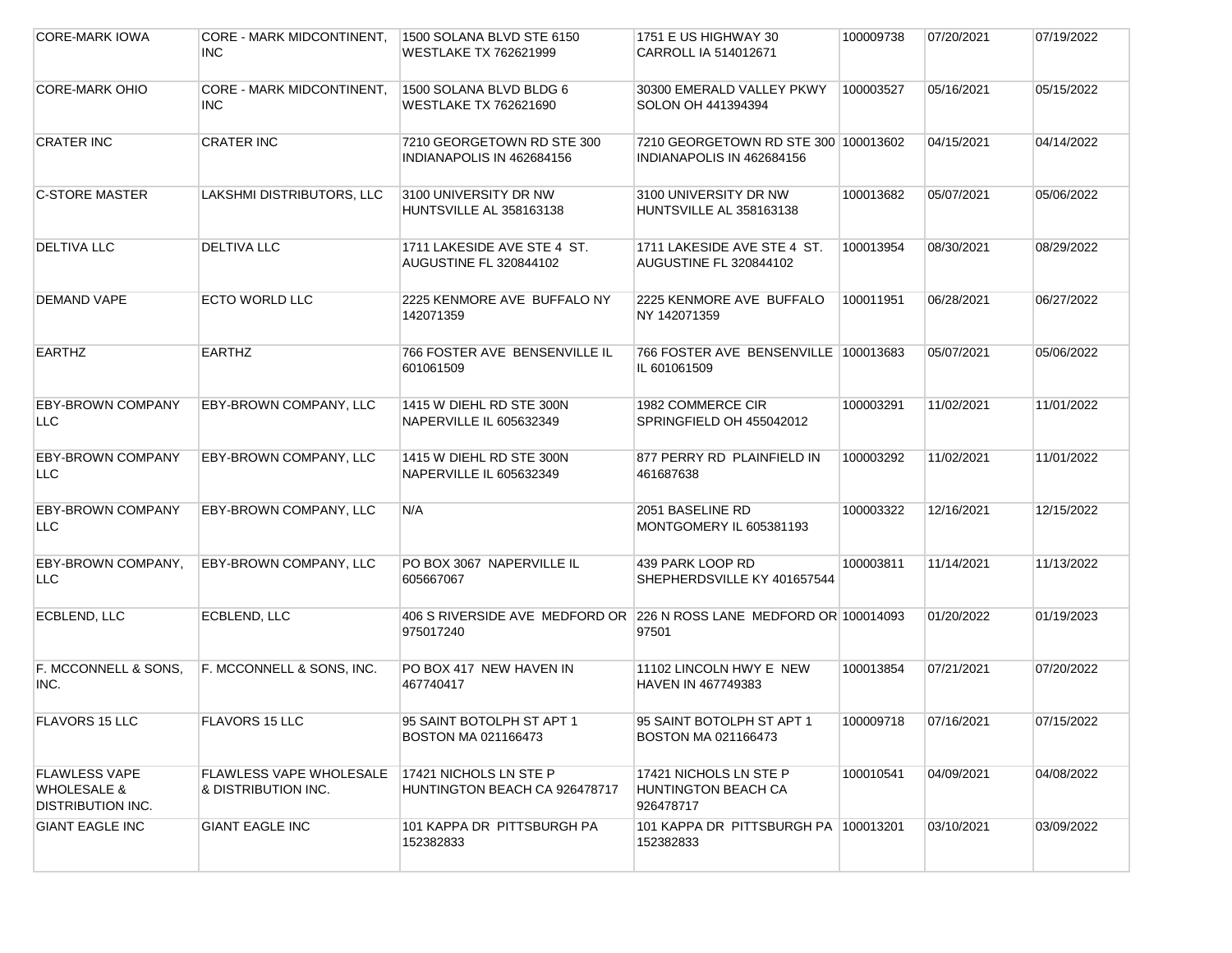| <b>CORE-MARK IOWA</b>                                               | CORE - MARK MIDCONTINENT,<br>INC.                     | 1500 SOLANA BLVD STE 6150<br>WESTLAKE TX 762621999                               | 1751 E US HIGHWAY 30<br>CARROLL IA 514012671                      | 100009738 | 07/20/2021 | 07/19/2022 |
|---------------------------------------------------------------------|-------------------------------------------------------|----------------------------------------------------------------------------------|-------------------------------------------------------------------|-----------|------------|------------|
| <b>CORE-MARK OHIO</b>                                               | CORE - MARK MIDCONTINENT,<br><b>INC</b>               | 1500 SOLANA BLVD BLDG 6<br>WESTLAKE TX 762621690                                 | 30300 EMERALD VALLEY PKWY<br>SOLON OH 441394394                   | 100003527 | 05/16/2021 | 05/15/2022 |
| <b>CRATER INC</b>                                                   | <b>CRATER INC</b>                                     | 7210 GEORGETOWN RD STE 300<br>INDIANAPOLIS IN 462684156                          | 7210 GEORGETOWN RD STE 300 100013602<br>INDIANAPOLIS IN 462684156 |           | 04/15/2021 | 04/14/2022 |
| <b>C-STORE MASTER</b>                                               | LAKSHMI DISTRIBUTORS, LLC                             | 3100 UNIVERSITY DR NW<br>HUNTSVILLE AL 358163138                                 | 3100 UNIVERSITY DR NW<br>HUNTSVILLE AL 358163138                  | 100013682 | 05/07/2021 | 05/06/2022 |
| <b>DELTIVA LLC</b>                                                  | <b>DELTIVA LLC</b>                                    | 1711 LAKESIDE AVE STE 4 ST.<br><b>AUGUSTINE FL 320844102</b>                     | 1711 LAKESIDE AVE STE 4 ST.<br>AUGUSTINE FL 320844102             | 100013954 | 08/30/2021 | 08/29/2022 |
| DEMAND VAPE                                                         | <b>ECTO WORLD LLC</b>                                 | 2225 KENMORE AVE BUFFALO NY<br>142071359                                         | 2225 KENMORE AVE BUFFALO<br>NY 142071359                          | 100011951 | 06/28/2021 | 06/27/2022 |
| <b>EARTHZ</b>                                                       | <b>EARTHZ</b>                                         | 766 FOSTER AVE BENSENVILLE IL<br>601061509                                       | 766 FOSTER AVE BENSENVILLE 100013683<br>IL 601061509              |           | 05/07/2021 | 05/06/2022 |
| <b>EBY-BROWN COMPANY</b><br><b>LLC</b>                              | EBY-BROWN COMPANY, LLC                                | 1415 W DIEHL RD STE 300N<br>NAPERVILLE IL 605632349                              | 1982 COMMERCE CIR<br>SPRINGFIELD OH 455042012                     | 100003291 | 11/02/2021 | 11/01/2022 |
| <b>EBY-BROWN COMPANY</b><br><b>LLC</b>                              | EBY-BROWN COMPANY, LLC                                | 1415 W DIEHL RD STE 300N<br>NAPERVILLE IL 605632349                              | 877 PERRY RD PLAINFIELD IN<br>461687638                           | 100003292 | 11/02/2021 | 11/01/2022 |
| <b>EBY-BROWN COMPANY</b><br><b>LLC</b>                              | EBY-BROWN COMPANY, LLC                                | N/A                                                                              | 2051 BASELINE RD<br>MONTGOMERY IL 605381193                       | 100003322 | 12/16/2021 | 12/15/2022 |
| EBY-BROWN COMPANY,<br>LLC.                                          | EBY-BROWN COMPANY, LLC                                | PO BOX 3067 NAPERVILLE IL<br>605667067                                           | 439 PARK LOOP RD<br>SHEPHERDSVILLE KY 401657544                   | 100003811 | 11/14/2021 | 11/13/2022 |
| ECBLEND, LLC                                                        | ECBLEND, LLC                                          | 406 S RIVERSIDE AVE MEDFORD OR 226 N ROSS LANE MEDFORD OR 100014093<br>975017240 | 97501                                                             |           | 01/20/2022 | 01/19/2023 |
| F. MCCONNELL & SONS.<br>INC.                                        | F. MCCONNELL & SONS, INC.                             | PO BOX 417 NEW HAVEN IN<br>467740417                                             | 11102 LINCOLN HWY E NEW<br>HAVEN IN 467749383                     | 100013854 | 07/21/2021 | 07/20/2022 |
| FLAVORS 15 LLC                                                      | <b>FLAVORS 15 LLC</b>                                 | 95 SAINT BOTOLPH ST APT 1<br><b>BOSTON MA 021166473</b>                          | 95 SAINT BOTOLPH ST APT 1<br><b>BOSTON MA 021166473</b>           | 100009718 | 07/16/2021 | 07/15/2022 |
| <b>FLAWLESS VAPE</b><br><b>WHOLESALE &amp;</b><br>DISTRIBUTION INC. | <b>FLAWLESS VAPE WHOLESALE</b><br>& DISTRIBUTION INC. | 17421 NICHOLS LN STE P<br>HUNTINGTON BEACH CA 926478717                          | 17421 NICHOLS LN STE P<br><b>HUNTINGTON BEACH CA</b><br>926478717 | 100010541 | 04/09/2021 | 04/08/2022 |
| <b>GIANT EAGLE INC</b>                                              | <b>GIANT EAGLE INC</b>                                | 101 KAPPA DR PITTSBURGH PA<br>152382833                                          | 101 KAPPA DR PITTSBURGH PA   100013201<br>152382833               |           | 03/10/2021 | 03/09/2022 |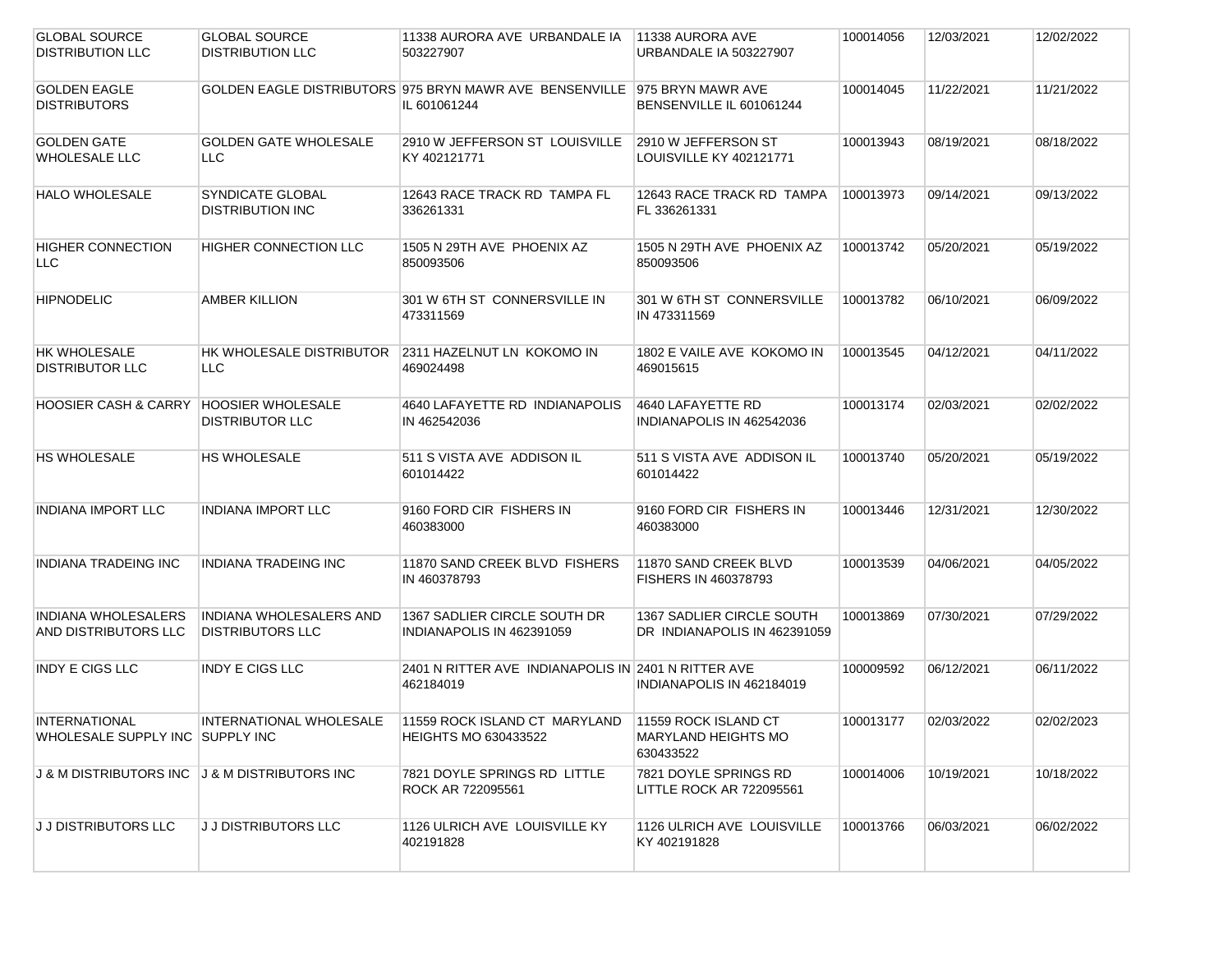| <b>GLOBAL SOURCE</b>                          | <b>GLOBAL SOURCE</b>           | 11338 AURORA AVE URBANDALE IA                                              | 11338 AURORA AVE                 | 100014056 | 12/03/2021 | 12/02/2022 |
|-----------------------------------------------|--------------------------------|----------------------------------------------------------------------------|----------------------------------|-----------|------------|------------|
| <b>DISTRIBUTION LLC</b>                       | <b>DISTRIBUTION LLC</b>        | 503227907                                                                  | URBANDALE IA 503227907           |           |            |            |
|                                               |                                |                                                                            |                                  |           |            |            |
| <b>GOLDEN EAGLE</b>                           |                                | GOLDEN EAGLE DISTRIBUTORS 975 BRYN MAWR AVE BENSENVILLE 1975 BRYN MAWR AVE |                                  | 100014045 | 11/22/2021 | 11/21/2022 |
| <b>DISTRIBUTORS</b>                           |                                | IL 601061244                                                               | BENSENVILLE IL 601061244         |           |            |            |
|                                               |                                |                                                                            |                                  |           |            |            |
|                                               |                                |                                                                            |                                  |           |            |            |
| <b>GOLDEN GATE</b>                            | <b>GOLDEN GATE WHOLESALE</b>   | 2910 W JEFFERSON ST LOUISVILLE                                             | 2910 W JEFFERSON ST              | 100013943 | 08/19/2021 | 08/18/2022 |
| <b>WHOLESALE LLC</b>                          | LLC.                           | KY 402121771                                                               | LOUISVILLE KY 402121771          |           |            |            |
|                                               |                                |                                                                            |                                  |           |            |            |
| <b>HALO WHOLESALE</b>                         | SYNDICATE GLOBAL               | 12643 RACE TRACK RD TAMPA FL                                               | 12643 RACE TRACK RD TAMPA        | 100013973 | 09/14/2021 | 09/13/2022 |
|                                               | <b>DISTRIBUTION INC</b>        | 336261331                                                                  | FL 336261331                     |           |            |            |
|                                               |                                |                                                                            |                                  |           |            |            |
| <b>HIGHER CONNECTION</b>                      | <b>HIGHER CONNECTION LLC</b>   | 1505 N 29TH AVE PHOENIX AZ                                                 | 1505 N 29TH AVE PHOENIX AZ       | 100013742 | 05/20/2021 | 05/19/2022 |
| LLC.                                          |                                | 850093506                                                                  | 850093506                        |           |            |            |
|                                               |                                |                                                                            |                                  |           |            |            |
|                                               |                                |                                                                            |                                  |           |            |            |
| <b>HIPNODELIC</b>                             | <b>AMBER KILLION</b>           | 301 W 6TH ST CONNERSVILLE IN                                               | 301 W 6TH ST CONNERSVILLE        | 100013782 | 06/10/2021 | 06/09/2022 |
|                                               |                                | 473311569                                                                  | IN 473311569                     |           |            |            |
|                                               |                                |                                                                            |                                  |           |            |            |
| HK WHOLESALE                                  | HK WHOLESALE DISTRIBUTOR       | 2311 HAZELNUT LN KOKOMO IN                                                 | 1802 E VAILE AVE KOKOMO IN       | 100013545 | 04/12/2021 | 04/11/2022 |
| <b>DISTRIBUTOR LLC</b>                        | LLC                            | 469024498                                                                  | 469015615                        |           |            |            |
|                                               |                                |                                                                            |                                  |           |            |            |
| <b>HOOSIER CASH &amp; CARRY</b>               | <b>HOOSIER WHOLESALE</b>       | 4640 LAFAYETTE RD INDIANAPOLIS                                             | 4640 LAFAYETTE RD                | 100013174 | 02/03/2021 | 02/02/2022 |
|                                               | <b>DISTRIBUTOR LLC</b>         | IN 462542036                                                               | INDIANAPOLIS IN 462542036        |           |            |            |
|                                               |                                |                                                                            |                                  |           |            |            |
|                                               |                                |                                                                            |                                  |           |            |            |
| <b>HS WHOLESALE</b>                           | HS WHOLESALE                   | 511 S VISTA AVE ADDISON IL                                                 | 511 S VISTA AVE ADDISON IL       | 100013740 | 05/20/2021 | 05/19/2022 |
|                                               |                                | 601014422                                                                  | 601014422                        |           |            |            |
|                                               |                                |                                                                            |                                  |           |            |            |
| <b>INDIANA IMPORT LLC</b>                     | <b>INDIANA IMPORT LLC</b>      | 9160 FORD CIR FISHERS IN                                                   | 9160 FORD CIR FISHERS IN         | 100013446 | 12/31/2021 | 12/30/2022 |
|                                               |                                | 460383000                                                                  | 460383000                        |           |            |            |
|                                               |                                |                                                                            |                                  |           |            |            |
| INDIANA TRADEING INC                          | <b>INDIANA TRADEING INC</b>    | 11870 SAND CREEK BLVD FISHERS                                              | 11870 SAND CREEK BLVD            | 100013539 | 04/06/2021 | 04/05/2022 |
|                                               |                                | IN 460378793                                                               | FISHERS IN 460378793             |           |            |            |
|                                               |                                |                                                                            |                                  |           |            |            |
|                                               |                                |                                                                            |                                  |           |            |            |
| <b>INDIANA WHOLESALERS</b>                    | <b>INDIANA WHOLESALERS AND</b> | 1367 SADLIER CIRCLE SOUTH DR                                               | <b>1367 SADLIER CIRCLE SOUTH</b> | 100013869 | 07/30/2021 | 07/29/2022 |
| AND DISTRIBUTORS LLC                          | <b>DISTRIBUTORS LLC</b>        | INDIANAPOLIS IN 462391059                                                  | DR INDIANAPOLIS IN 462391059     |           |            |            |
|                                               |                                |                                                                            |                                  |           |            |            |
| <b>INDY E CIGS LLC</b>                        | <b>INDY E CIGS LLC</b>         | 2401 N RITTER AVE INDIANAPOLIS IN 2401 N RITTER AVE                        |                                  | 100009592 | 06/12/2021 | 06/11/2022 |
|                                               |                                | 462184019                                                                  | INDIANAPOLIS IN 462184019        |           |            |            |
|                                               |                                |                                                                            |                                  |           |            |            |
| <b>INTERNATIONAL</b>                          | INTERNATIONAL WHOLESALE        | 11559 ROCK ISLAND CT MARYLAND                                              | 11559 ROCK ISLAND CT             | 100013177 | 02/03/2022 | 02/02/2023 |
| WHOLESALE SUPPLY INC SUPPLY INC               |                                | <b>HEIGHTS MO 630433522</b>                                                | <b>MARYLAND HEIGHTS MO</b>       |           |            |            |
|                                               |                                |                                                                            | 630433522                        |           |            |            |
|                                               |                                |                                                                            |                                  |           |            |            |
| J & M DISTRIBUTORS INC J & M DISTRIBUTORS INC |                                | 7821 DOYLE SPRINGS RD LITTLE                                               | 7821 DOYLE SPRINGS RD            | 100014006 | 10/19/2021 | 10/18/2022 |
|                                               |                                | ROCK AR 722095561                                                          | LITTLE ROCK AR 722095561         |           |            |            |
|                                               |                                |                                                                            |                                  |           |            |            |
| J J DISTRIBUTORS LLC                          | J J DISTRIBUTORS LLC           | 1126 ULRICH AVE LOUISVILLE KY                                              | 1126 ULRICH AVE LOUISVILLE       | 100013766 | 06/03/2021 | 06/02/2022 |
|                                               |                                | 402191828                                                                  | KY 402191828                     |           |            |            |
|                                               |                                |                                                                            |                                  |           |            |            |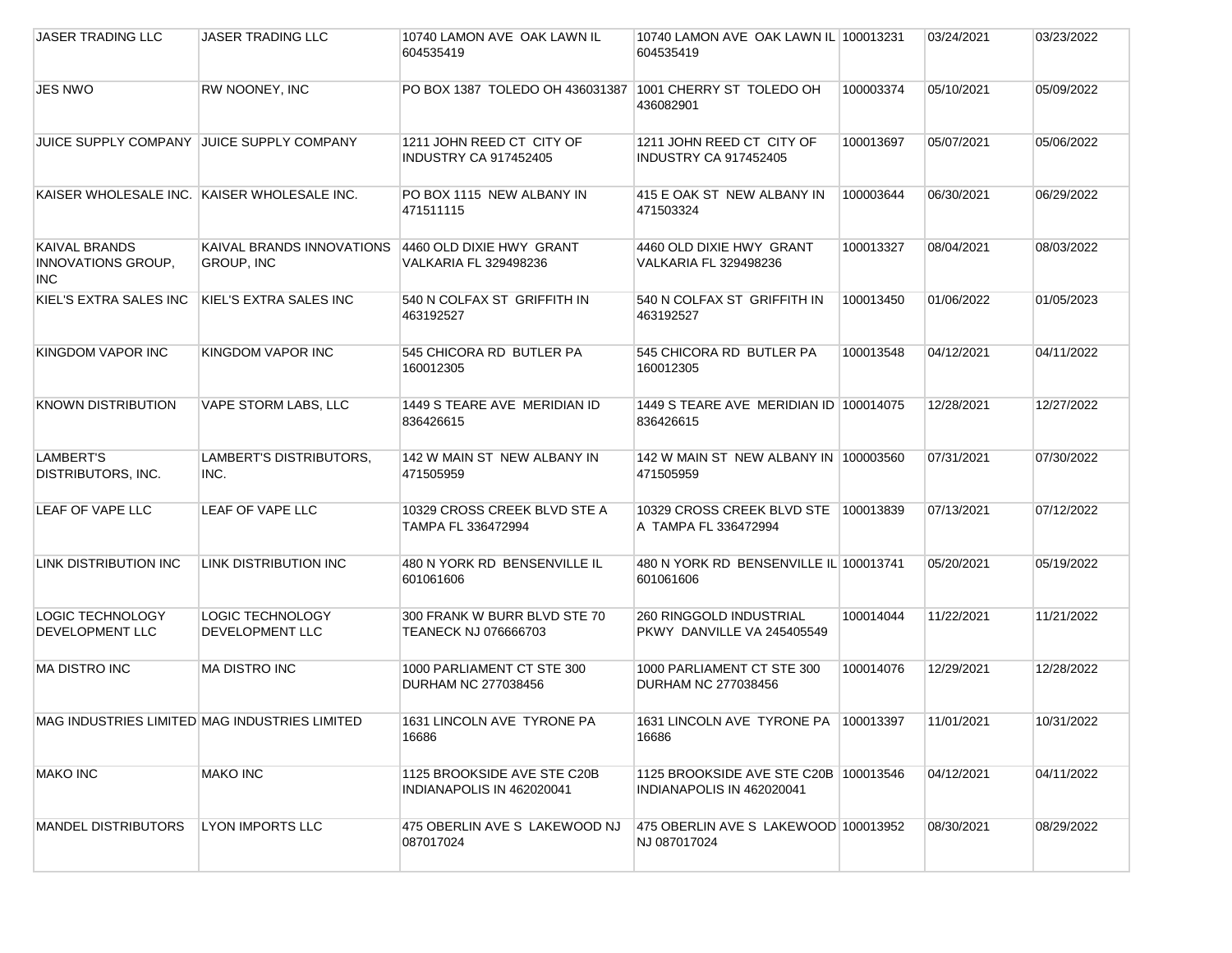| JASER TRADING LLC                                               | JASER TRADING LLC                                 | 10740 LAMON AVE OAK LAWN IL<br>604535419                 | 10740 LAMON AVE OAK LAWN IL 100013231<br>604535419                 |           | 03/24/2021 | 03/23/2022 |
|-----------------------------------------------------------------|---------------------------------------------------|----------------------------------------------------------|--------------------------------------------------------------------|-----------|------------|------------|
| <b>JES NWO</b>                                                  | RW NOONEY, INC                                    | PO BOX 1387 TOLEDO OH 436031387                          | 1001 CHERRY ST TOLEDO OH<br>436082901                              | 100003374 | 05/10/2021 | 05/09/2022 |
| <b>JUICE SUPPLY COMPANY</b>                                     | <b>JUICE SUPPLY COMPANY</b>                       | 1211 JOHN REED CT CITY OF<br>INDUSTRY CA 917452405       | 1211 JOHN REED CT CITY OF<br><b>INDUSTRY CA 917452405</b>          | 100013697 | 05/07/2021 | 05/06/2022 |
| KAISER WHOLESALE INC. KAISER WHOLESALE INC.                     |                                                   | PO BOX 1115 NEW ALBANY IN<br>471511115                   | 415 E OAK ST NEW ALBANY IN<br>471503324                            | 100003644 | 06/30/2021 | 06/29/2022 |
| <b>KAIVAL BRANDS</b><br><b>INNOVATIONS GROUP,</b><br><b>INC</b> | KAIVAL BRANDS INNOVATIONS<br><b>GROUP, INC</b>    | 4460 OLD DIXIE HWY GRANT<br>VALKARIA FL 329498236        | 4460 OLD DIXIE HWY GRANT<br>VALKARIA FL 329498236                  | 100013327 | 08/04/2021 | 08/03/2022 |
| KIEL'S EXTRA SALES INC                                          | KIEL'S EXTRA SALES INC                            | 540 N COLFAX ST GRIFFITH IN<br>463192527                 | 540 N COLFAX ST GRIFFITH IN<br>463192527                           | 100013450 | 01/06/2022 | 01/05/2023 |
| KINGDOM VAPOR INC                                               | KINGDOM VAPOR INC                                 | 545 CHICORA RD BUTLER PA<br>160012305                    | 545 CHICORA RD BUTLER PA<br>160012305                              | 100013548 | 04/12/2021 | 04/11/2022 |
| <b>KNOWN DISTRIBUTION</b>                                       | VAPE STORM LABS, LLC                              | 1449 STEARE AVE MERIDIAN ID<br>836426615                 | 1449 STEARE AVE MERIDIAN ID 100014075<br>836426615                 |           | 12/28/2021 | 12/27/2022 |
| LAMBERT'S<br><b>DISTRIBUTORS, INC.</b>                          | <b>LAMBERT'S DISTRIBUTORS.</b><br>INC.            | 142 W MAIN ST NEW ALBANY IN<br>471505959                 | 142 W MAIN ST NEW ALBANY IN 100003560<br>471505959                 |           | 07/31/2021 | 07/30/2022 |
| LEAF OF VAPE LLC                                                | LEAF OF VAPE LLC                                  | 10329 CROSS CREEK BLVD STE A<br>TAMPA FL 336472994       | 10329 CROSS CREEK BLVD STE 100013839<br>A TAMPA FL 336472994       |           | 07/13/2021 | 07/12/2022 |
| LINK DISTRIBUTION INC                                           | <b>LINK DISTRIBUTION INC</b>                      | 480 N YORK RD BENSENVILLE IL<br>601061606                | 480 N YORK RD BENSENVILLE IL 100013741<br>601061606                |           | 05/20/2021 | 05/19/2022 |
| LOGIC TECHNOLOGY<br>DEVELOPMENT LLC                             | <b>LOGIC TECHNOLOGY</b><br><b>DEVELOPMENT LLC</b> | 300 FRANK W BURR BLVD STE 70<br>TEANECK NJ 076666703     | <b>260 RINGGOLD INDUSTRIAL</b><br>PKWY DANVILLE VA 245405549       | 100014044 | 11/22/2021 | 11/21/2022 |
| <b>MA DISTRO INC</b>                                            | <b>MA DISTRO INC</b>                              | 1000 PARLIAMENT CT STE 300<br>DURHAM NC 277038456        | 1000 PARLIAMENT CT STE 300<br>DURHAM NC 277038456                  | 100014076 | 12/29/2021 | 12/28/2022 |
|                                                                 | MAG INDUSTRIES LIMITED MAG INDUSTRIES LIMITED     | 1631 LINCOLN AVE TYRONE PA<br>16686                      | 1631 LINCOLN AVE TYRONE PA   100013397<br>16686                    |           | 11/01/2021 | 10/31/2022 |
| <b>MAKO INC</b>                                                 | <b>MAKO INC</b>                                   | 1125 BROOKSIDE AVE STE C20B<br>INDIANAPOLIS IN 462020041 | 1125 BROOKSIDE AVE STE C20B 100013546<br>INDIANAPOLIS IN 462020041 |           | 04/12/2021 | 04/11/2022 |
| <b>MANDEL DISTRIBUTORS</b>                                      | <b>LYON IMPORTS LLC</b>                           | 475 OBERLIN AVE S LAKEWOOD NJ<br>087017024               | 475 OBERLIN AVE S LAKEWOOD 100013952<br>NJ 087017024               |           | 08/30/2021 | 08/29/2022 |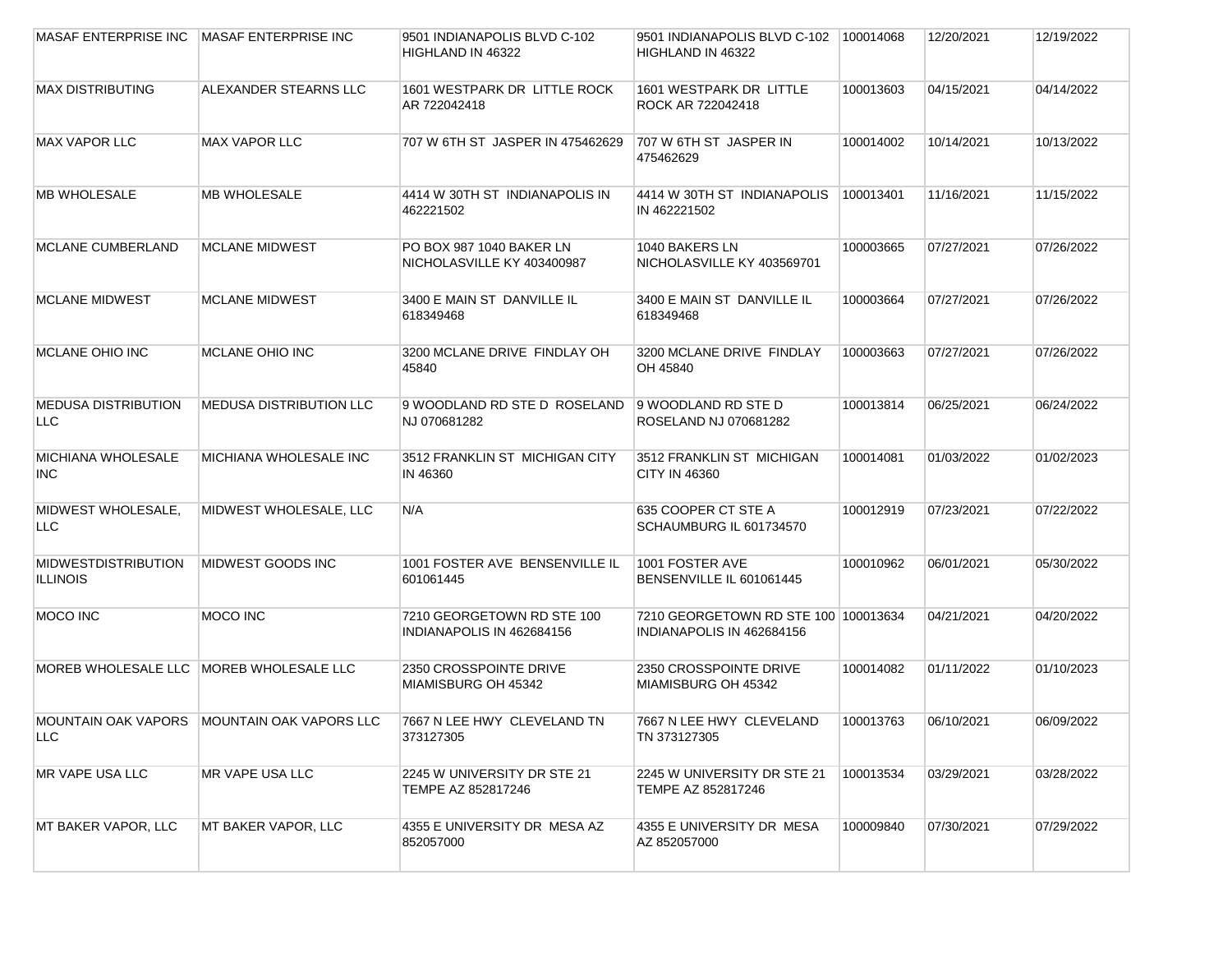| <b>MASAF ENTERPRISE INC</b>                   | <b>MASAF ENTERPRISE INC</b>                   | 9501 INDIANAPOLIS BLVD C-102<br>HIGHLAND IN 46322       | 9501 INDIANAPOLIS BLVD C-102 100014068<br>HIGHLAND IN 46322       |           | 12/20/2021 | 12/19/2022 |
|-----------------------------------------------|-----------------------------------------------|---------------------------------------------------------|-------------------------------------------------------------------|-----------|------------|------------|
| MAX DISTRIBUTING                              | ALEXANDER STEARNS LLC                         | 1601 WESTPARK DR LITTLE ROCK<br>AR 722042418            | 1601 WESTPARK DR LITTLE<br>ROCK AR 722042418                      | 100013603 | 04/15/2021 | 04/14/2022 |
| <b>MAX VAPOR LLC</b>                          | <b>MAX VAPOR LLC</b>                          | 707 W 6TH ST JASPER IN 475462629                        | 707 W 6TH ST JASPER IN<br>475462629                               | 100014002 | 10/14/2021 | 10/13/2022 |
| <b>MB WHOLESALE</b>                           | <b>MB WHOLESALE</b>                           | 4414 W 30TH ST INDIANAPOLIS IN<br>462221502             | 4414 W 30TH ST INDIANAPOLIS<br>IN 462221502                       | 100013401 | 11/16/2021 | 11/15/2022 |
| <b>MCLANE CUMBERLAND</b>                      | <b>MCLANE MIDWEST</b>                         | PO BOX 987 1040 BAKER LN<br>NICHOLASVILLE KY 403400987  | 1040 BAKERS LN<br>NICHOLASVILLE KY 403569701                      | 100003665 | 07/27/2021 | 07/26/2022 |
| <b>MCLANE MIDWEST</b>                         | <b>MCLANE MIDWEST</b>                         | 3400 E MAIN ST DANVILLE IL<br>618349468                 | 3400 E MAIN ST DANVILLE IL<br>618349468                           | 100003664 | 07/27/2021 | 07/26/2022 |
| <b>MCLANE OHIO INC</b>                        | MCLANE OHIO INC                               | 3200 MCLANE DRIVE FINDLAY OH<br>45840                   | 3200 MCLANE DRIVE FINDLAY<br>OH 45840                             | 100003663 | 07/27/2021 | 07/26/2022 |
| <b>MEDUSA DISTRIBUTION</b><br>LLC             | <b>MEDUSA DISTRIBUTION LLC</b>                | 9 WOODLAND RD STE D ROSELAND<br>NJ 070681282            | 9 WOODLAND RD STE D<br>ROSELAND NJ 070681282                      | 100013814 | 06/25/2021 | 06/24/2022 |
| <b>MICHIANA WHOLESALE</b><br>INC.             | MICHIANA WHOLESALE INC                        | 3512 FRANKLIN ST MICHIGAN CITY<br>IN 46360              | 3512 FRANKLIN ST MICHIGAN<br><b>CITY IN 46360</b>                 | 100014081 | 01/03/2022 | 01/02/2023 |
| MIDWEST WHOLESALE,<br><b>LLC</b>              | MIDWEST WHOLESALE, LLC                        | N/A                                                     | 635 COOPER CT STE A<br>SCHAUMBURG IL 601734570                    | 100012919 | 07/23/2021 | 07/22/2022 |
| <b>MIDWESTDISTRIBUTION</b><br><b>ILLINOIS</b> | MIDWEST GOODS INC                             | 1001 FOSTER AVE BENSENVILLE IL<br>601061445             | 1001 FOSTER AVE<br>BENSENVILLE IL 601061445                       | 100010962 | 06/01/2021 | 05/30/2022 |
| MOCO INC                                      | <b>MOCO INC</b>                               | 7210 GEORGETOWN RD STE 100<br>INDIANAPOLIS IN 462684156 | 7210 GEORGETOWN RD STE 100 100013634<br>INDIANAPOLIS IN 462684156 |           | 04/21/2021 | 04/20/2022 |
| <b>MOREB WHOLESALE LLC</b>                    | MOREB WHOLESALE LLC                           | 2350 CROSSPOINTE DRIVE<br>MIAMISBURG OH 45342           | 2350 CROSSPOINTE DRIVE<br>MIAMISBURG OH 45342                     | 100014082 | 01/11/2022 | 01/10/2023 |
| LLC                                           | MOUNTAIN OAK VAPORS   MOUNTAIN OAK VAPORS LLC | 7667 N LEE HWY CLEVELAND TN<br>373127305                | 7667 N LEE HWY CLEVELAND<br>TN 373127305                          | 100013763 | 06/10/2021 | 06/09/2022 |
| MR VAPE USA LLC                               | MR VAPE USA LLC                               | 2245 W UNIVERSITY DR STE 21<br>TEMPE AZ 852817246       | 2245 W UNIVERSITY DR STE 21<br>TEMPE AZ 852817246                 | 100013534 | 03/29/2021 | 03/28/2022 |
| MT BAKER VAPOR, LLC                           | MT BAKER VAPOR, LLC                           | 4355 E UNIVERSITY DR MESA AZ<br>852057000               | 4355 E UNIVERSITY DR MESA<br>AZ 852057000                         | 100009840 | 07/30/2021 | 07/29/2022 |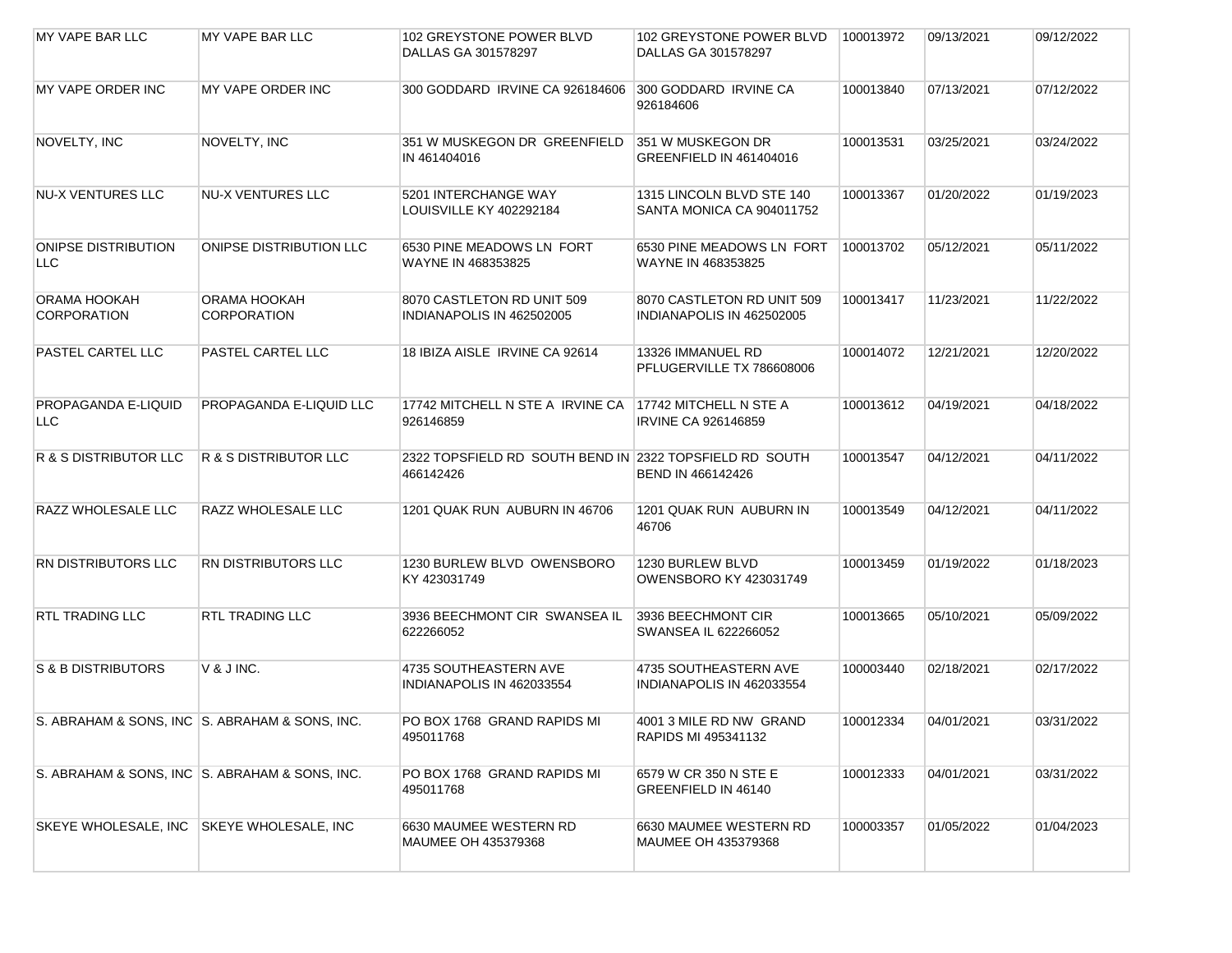| MY VAPE BAR LLC                    | MY VAPE BAR LLC                                | 102 GREYSTONE POWER BLVD<br>DALLAS GA 301578297                      | 102 GREYSTONE POWER BLVD<br>DALLAS GA 301578297         | 100013972 | 09/13/2021 | 09/12/2022 |
|------------------------------------|------------------------------------------------|----------------------------------------------------------------------|---------------------------------------------------------|-----------|------------|------------|
| MY VAPE ORDER INC                  | MY VAPE ORDER INC                              | 300 GODDARD IRVINE CA 926184606                                      | 300 GODDARD IRVINE CA<br>926184606                      | 100013840 | 07/13/2021 | 07/12/2022 |
| NOVELTY, INC                       | NOVELTY, INC                                   | 351 W MUSKEGON DR GREENFIELD<br>IN 461404016                         | 351 W MUSKEGON DR<br>GREENFIELD IN 461404016            | 100013531 | 03/25/2021 | 03/24/2022 |
| <b>NU-X VENTURES LLC</b>           | <b>NU-X VENTURES LLC</b>                       | 5201 INTERCHANGE WAY<br>LOUISVILLE KY 402292184                      | 1315 LINCOLN BLVD STE 140<br>SANTA MONICA CA 904011752  | 100013367 | 01/20/2022 | 01/19/2023 |
| <b>ONIPSE DISTRIBUTION</b><br>LLC. | ONIPSE DISTRIBUTION LLC                        | 6530 PINE MEADOWS LN FORT<br>WAYNE IN 468353825                      | 6530 PINE MEADOWS LN FORT<br>WAYNE IN 468353825         | 100013702 | 05/12/2021 | 05/11/2022 |
| ORAMA HOOKAH<br><b>CORPORATION</b> | ORAMA HOOKAH<br><b>CORPORATION</b>             | 8070 CASTLETON RD UNIT 509<br>INDIANAPOLIS IN 462502005              | 8070 CASTLETON RD UNIT 509<br>INDIANAPOLIS IN 462502005 | 100013417 | 11/23/2021 | 11/22/2022 |
| <b>PASTEL CARTEL LLC</b>           | PASTEL CARTEL LLC                              | 18 IBIZA AISLE IRVINE CA 92614                                       | 13326 IMMANUEL RD<br>PFLUGERVILLE TX 786608006          | 100014072 | 12/21/2021 | 12/20/2022 |
| <b>PROPAGANDA E-LIQUID</b><br>LLC. | <b>PROPAGANDA E-LIQUID LLC</b>                 | 17742 MITCHELL N STE A IRVINE CA<br>926146859                        | 17742 MITCHELL N STE A<br><b>IRVINE CA 926146859</b>    | 100013612 | 04/19/2021 | 04/18/2022 |
| R & S DISTRIBUTOR LLC              | <b>R &amp; S DISTRIBUTOR LLC</b>               | 2322 TOPSFIELD RD SOUTH BEND IN 2322 TOPSFIELD RD SOUTH<br>466142426 | BEND IN 466142426                                       | 100013547 | 04/12/2021 | 04/11/2022 |
| <b>RAZZ WHOLESALE LLC</b>          | <b>RAZZ WHOLESALE LLC</b>                      | 1201 QUAK RUN AUBURN IN 46706                                        | 1201 QUAK RUN AUBURN IN<br>46706                        | 100013549 | 04/12/2021 | 04/11/2022 |
| <b>RN DISTRIBUTORS LLC</b>         | RN DISTRIBUTORS LLC                            | 1230 BURLEW BLVD OWENSBORO<br>KY 423031749                           | 1230 BURLEW BLVD<br>OWENSBORO KY 423031749              | 100013459 | 01/19/2022 | 01/18/2023 |
| <b>RTL TRADING LLC</b>             | <b>RTL TRADING LLC</b>                         | 3936 BEECHMONT CIR SWANSEA IL<br>622266052                           | 3936 BEECHMONT CIR<br>SWANSEA IL 622266052              | 100013665 | 05/10/2021 | 05/09/2022 |
| <b>S &amp; B DISTRIBUTORS</b>      | V & J INC.                                     | 4735 SOUTHEASTERN AVE<br>INDIANAPOLIS IN 462033554                   | 4735 SOUTHEASTERN AVE<br>INDIANAPOLIS IN 462033554      | 100003440 | 02/18/2021 | 02/17/2022 |
|                                    | S. ABRAHAM & SONS, INC S. ABRAHAM & SONS, INC. | PO BOX 1768 GRAND RAPIDS MI<br>495011768                             | 4001 3 MILE RD NW GRAND<br>RAPIDS MI 495341132          | 100012334 | 04/01/2021 | 03/31/2022 |
|                                    | S. ABRAHAM & SONS, INC S. ABRAHAM & SONS, INC. | PO BOX 1768 GRAND RAPIDS MI<br>495011768                             | 6579 W CR 350 N STE E<br>GREENFIELD IN 46140            | 100012333 | 04/01/2021 | 03/31/2022 |
| SKEYE WHOLESALE, INC               | SKEYE WHOLESALE, INC                           | 6630 MAUMEE WESTERN RD<br>MAUMEE OH 435379368                        | 6630 MAUMEE WESTERN RD<br>MAUMEE OH 435379368           | 100003357 | 01/05/2022 | 01/04/2023 |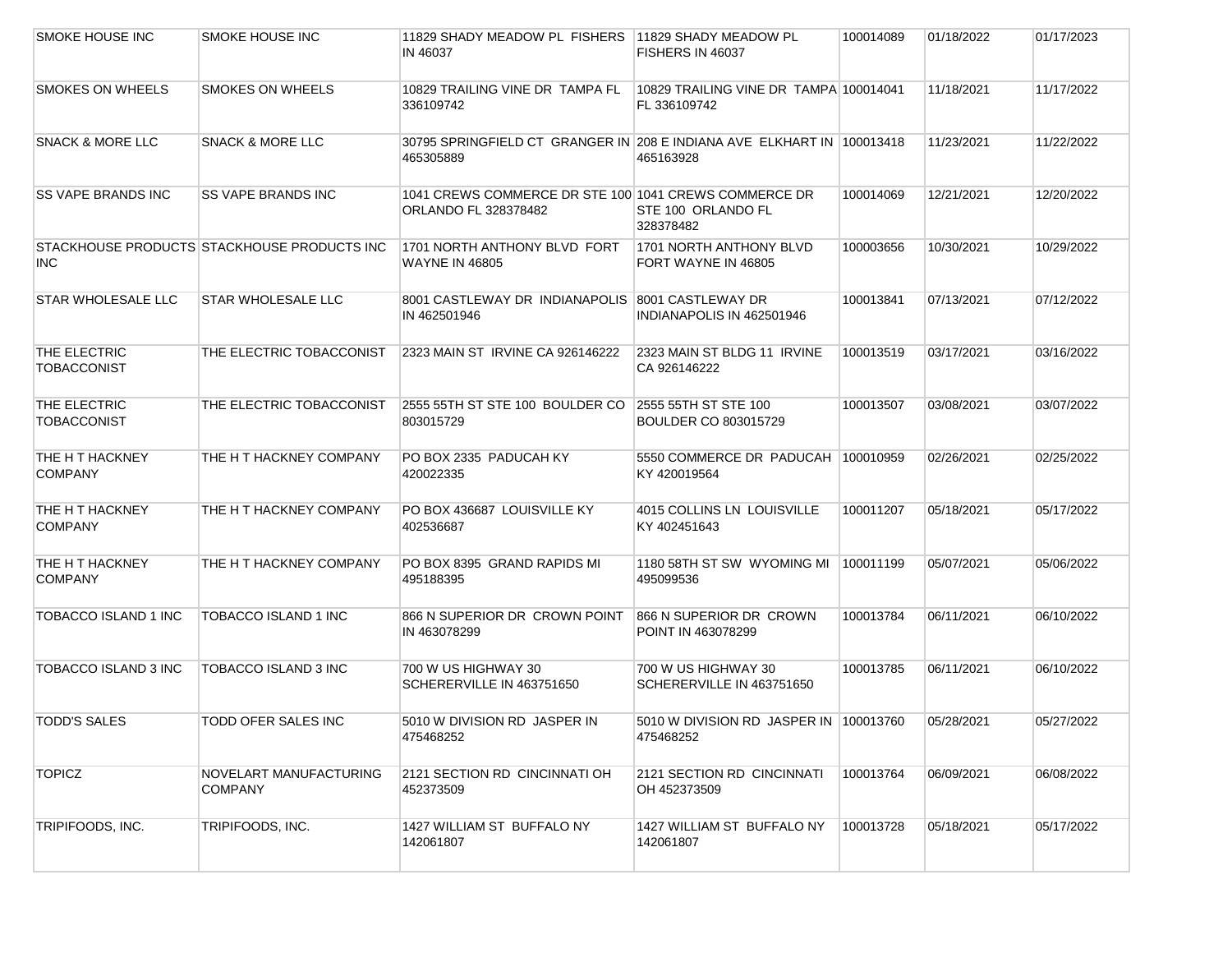| SMOKE HOUSE INC                    | SMOKE HOUSE INC                             | 11829 SHADY MEADOW PL FISHERS 11829 SHADY MEADOW PL<br>IN 46037                      | FISHERS IN 46037                                       | 100014089 | 01/18/2022 | 01/17/2023 |
|------------------------------------|---------------------------------------------|--------------------------------------------------------------------------------------|--------------------------------------------------------|-----------|------------|------------|
| <b>SMOKES ON WHEELS</b>            | <b>SMOKES ON WHEELS</b>                     | 10829 TRAILING VINE DR TAMPA FL<br>336109742                                         | 10829 TRAILING VINE DR TAMPA 100014041<br>FL 336109742 |           | 11/18/2021 | 11/17/2022 |
| <b>SNACK &amp; MORE LLC</b>        | <b>SNACK &amp; MORE LLC</b>                 | 30795 SPRINGFIELD CT GRANGER IN 208 E INDIANA AVE ELKHART IN 100013418<br>465305889  | 465163928                                              |           | 11/23/2021 | 11/22/2022 |
| <b>SS VAPE BRANDS INC</b>          | <b>SS VAPE BRANDS INC</b>                   | 1041 CREWS COMMERCE DR STE 100 1041 CREWS COMMERCE DR<br><b>ORLANDO FL 328378482</b> | STE 100 ORLANDO FL<br>328378482                        | 100014069 | 12/21/2021 | 12/20/2022 |
| <b>INC</b>                         | STACKHOUSE PRODUCTS STACKHOUSE PRODUCTS INC | 1701 NORTH ANTHONY BLVD FORT<br><b>WAYNE IN 46805</b>                                | 1701 NORTH ANTHONY BLVD<br>FORT WAYNE IN 46805         | 100003656 | 10/30/2021 | 10/29/2022 |
| <b>STAR WHOLESALE LLC</b>          | STAR WHOLESALE LLC                          | 8001 CASTLEWAY DR INDIANAPOLIS 8001 CASTLEWAY DR<br>IN 462501946                     | INDIANAPOLIS IN 462501946                              | 100013841 | 07/13/2021 | 07/12/2022 |
| THE ELECTRIC<br><b>TOBACCONIST</b> | THE ELECTRIC TOBACCONIST                    | 2323 MAIN ST IRVINE CA 926146222                                                     | 2323 MAIN ST BLDG 11 IRVINE<br>CA 926146222            | 100013519 | 03/17/2021 | 03/16/2022 |
| THE ELECTRIC<br><b>TOBACCONIST</b> | THE ELECTRIC TOBACCONIST                    | 2555 55TH ST STE 100 BOULDER CO<br>803015729                                         | 2555 55TH ST STE 100<br><b>BOULDER CO 803015729</b>    | 100013507 | 03/08/2021 | 03/07/2022 |
| THE H T HACKNEY<br><b>COMPANY</b>  | THE H T HACKNEY COMPANY                     | PO BOX 2335 PADUCAH KY<br>420022335                                                  | 5550 COMMERCE DR PADUCAH 100010959<br>KY 420019564     |           | 02/26/2021 | 02/25/2022 |
| THE H T HACKNEY<br><b>COMPANY</b>  | THE H T HACKNEY COMPANY                     | PO BOX 436687 LOUISVILLE KY<br>402536687                                             | 4015 COLLINS LN LOUISVILLE<br>KY 402451643             | 100011207 | 05/18/2021 | 05/17/2022 |
| THE H T HACKNEY<br><b>COMPANY</b>  | THE H T HACKNEY COMPANY                     | PO BOX 8395 GRAND RAPIDS MI<br>495188395                                             | 1180 58TH ST SW WYOMING MI<br>495099536                | 100011199 | 05/07/2021 | 05/06/2022 |
| TOBACCO ISLAND 1 INC               | TOBACCO ISLAND 1 INC                        | 866 N SUPERIOR DR CROWN POINT<br>IN 463078299                                        | 866 N SUPERIOR DR CROWN<br>POINT IN 463078299          | 100013784 | 06/11/2021 | 06/10/2022 |
| TOBACCO ISLAND 3 INC               | TOBACCO ISLAND 3 INC                        | 700 W US HIGHWAY 30<br>SCHERERVILLE IN 463751650                                     | 700 W US HIGHWAY 30<br>SCHERERVILLE IN 463751650       | 100013785 | 06/11/2021 | 06/10/2022 |
| TODD'S SALES                       | <b>TODD OFER SALES INC</b>                  | 5010 W DIVISION RD JASPER IN<br>475468252                                            | 5010 W DIVISION RD JASPER IN 100013760<br>475468252    |           | 05/28/2021 | 05/27/2022 |
| <b>TOPICZ</b>                      | NOVELART MANUFACTURING<br><b>COMPANY</b>    | 2121 SECTION RD CINCINNATI OH<br>452373509                                           | 2121 SECTION RD CINCINNATI<br>OH 452373509             | 100013764 | 06/09/2021 | 06/08/2022 |
| TRIPIFOODS, INC.                   | TRIPIFOODS, INC.                            | 1427 WILLIAM ST BUFFALO NY<br>142061807                                              | 1427 WILLIAM ST BUFFALO NY<br>142061807                | 100013728 | 05/18/2021 | 05/17/2022 |